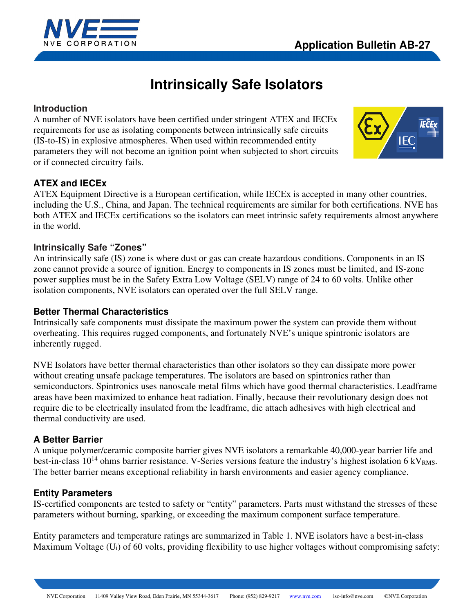



# **Intrinsically Safe Isolators**

# **Introduction**

A number of NVE isolators have been certified under stringent ATEX and IECEx requirements for use as isolating components between intrinsically safe circuits (IS-to-IS) in explosive atmospheres. When used within recommended entity parameters they will not become an ignition point when subjected to short circuits or if connected circuitry fails.



# **ATEX and IECEx**

ATEX Equipment Directive is a European certification, while IECEx is accepted in many other countries, including the U.S., China, and Japan. The technical requirements are similar for both certifications. NVE has both ATEX and IECEx certifications so the isolators can meet intrinsic safety requirements almost anywhere in the world.

# **Intrinsically Safe "Zones"**

An intrinsically safe (IS) zone is where dust or gas can create hazardous conditions. Components in an IS zone cannot provide a source of ignition. Energy to components in IS zones must be limited, and IS-zone power supplies must be in the Safety Extra Low Voltage (SELV) range of 24 to 60 volts. Unlike other isolation components, NVE isolators can operated over the full SELV range.

# **Better Thermal Characteristics**

Intrinsically safe components must dissipate the maximum power the system can provide them without overheating. This requires rugged components, and fortunately NVE's unique spintronic isolators are inherently rugged.

NVE Isolators have better thermal characteristics than other isolators so they can dissipate more power without creating unsafe package temperatures. The isolators are based on spintronics rather than semiconductors. Spintronics uses nanoscale metal films which have good thermal characteristics. Leadframe areas have been maximized to enhance heat radiation. Finally, because their revolutionary design does not require die to be electrically insulated from the leadframe, die attach adhesives with high electrical and thermal conductivity are used.

# **A Better Barrier**

A unique polymer/ceramic composite barrier gives NVE isolators a remarkable 40,000-year barrier life and best-in-class  $10^{14}$  ohms barrier resistance. V-Series versions feature the industry's highest isolation 6 kV<sub>RMS</sub>. The better barrier means exceptional reliability in harsh environments and easier agency compliance.

# **Entity Parameters**

IS-certified components are tested to safety or "entity" parameters. Parts must withstand the stresses of these parameters without burning, sparking, or exceeding the maximum component surface temperature.

Entity parameters and temperature ratings are summarized in Table 1. NVE isolators have a best-in-class Maximum Voltage (Ui) of 60 volts, providing flexibility to use higher voltages without compromising safety: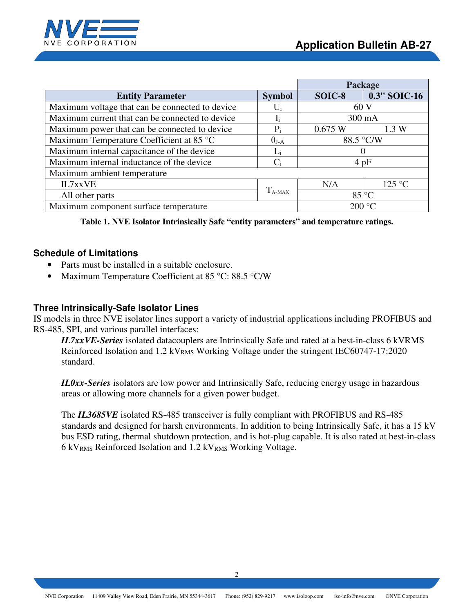

|                                                        |                       |                | Package      |  |
|--------------------------------------------------------|-----------------------|----------------|--------------|--|
| <b>Entity Parameter</b>                                | <b>Symbol</b>         | SOIC-8         | 0.3" SOIC-16 |  |
| Maximum voltage that can be connected to device        | Ui                    | 60V            |              |  |
| Maximum current that can be connected to device        |                       |                | 300 mA       |  |
| Maximum power that can be connected to device<br>$P_i$ |                       | 0.675 W        | 1.3 W        |  |
| Maximum Temperature Coefficient at 85 °C               | $\theta_{\text{J-A}}$ | 88.5 °C/W      |              |  |
| Maximum internal capacitance of the device             | Li                    |                |              |  |
| Maximum internal inductance of the device              |                       | 4pF            |              |  |
| Maximum ambient temperature                            |                       |                |              |  |
| IL7xxVE                                                |                       | N/A            | 125 °C       |  |
| All other parts                                        | $T_{A-MAX}$           | $85^{\circ}$ C |              |  |
| Maximum component surface temperature                  |                       | 200 °C         |              |  |

**Table 1. NVE Isolator Intrinsically Safe "entity parameters" and temperature ratings.** 

# **Schedule of Limitations**

- Parts must be installed in a suitable enclosure.
- Maximum Temperature Coefficient at 85 °C: 88.5 °C/W

### **Three Intrinsically-Safe Isolator Lines**

IS models in three NVE isolator lines support a variety of industrial applications including PROFIBUS and RS-485, SPI, and various parallel interfaces:

*IL7xxVE-Series* isolated datacouplers are Intrinsically Safe and rated at a best-in-class 6 kVRMS Reinforced Isolation and 1.2 kV<sub>RMS</sub> Working Voltage under the stringent IEC60747-17:2020 standard.

*IL0xx-Series* isolators are low power and Intrinsically Safe, reducing energy usage in hazardous areas or allowing more channels for a given power budget.

The *IL3685VE* isolated RS-485 transceiver is fully compliant with PROFIBUS and RS-485 standards and designed for harsh environments. In addition to being Intrinsically Safe, it has a 15 kV bus ESD rating, thermal shutdown protection, and is hot-plug capable. It is also rated at best-in-class 6 kV<sub>RMS</sub> Reinforced Isolation and 1.2 kV<sub>RMS</sub> Working Voltage.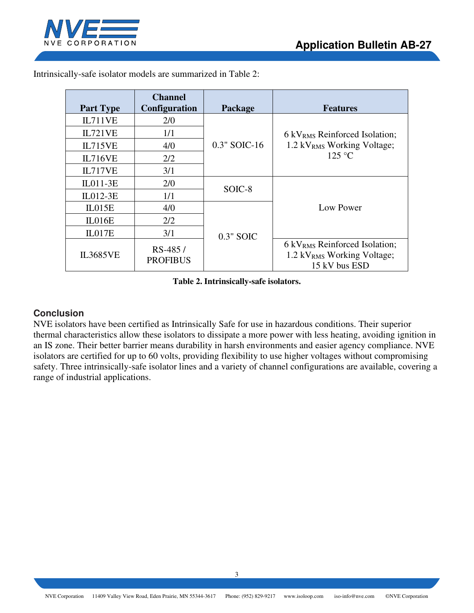

| <b>Part Type</b> | <b>Channel</b><br><b>Configuration</b> | Package      | <b>Features</b>                                                                                        |  |
|------------------|----------------------------------------|--------------|--------------------------------------------------------------------------------------------------------|--|
| IL711VE          | 2/0                                    |              |                                                                                                        |  |
| IL721VE          | 1/1                                    |              | 6 kV <sub>RMS</sub> Reinforced Isolation;<br>1.2 kV <sub>RMS</sub> Working Voltage;<br>$125^{\circ}$ C |  |
| IL715VE          | 4/0                                    | 0.3" SOIC-16 |                                                                                                        |  |
| <b>IL716VE</b>   | 2/2                                    |              |                                                                                                        |  |
| IL717VE          | 3/1                                    |              |                                                                                                        |  |
| IL011-3E         | 2/0                                    | SOIC-8       | Low Power                                                                                              |  |
| $IL012-3E$       | 1/1                                    |              |                                                                                                        |  |
| IL015E           | 4/0                                    |              |                                                                                                        |  |
| IL016E           | 2/2                                    |              |                                                                                                        |  |
| IL017E           | 3/1                                    | $0.3"$ SOIC  |                                                                                                        |  |
| <b>IL3685VE</b>  | RS-485/<br><b>PROFIBUS</b>             |              | 6 kV <sub>RMS</sub> Reinforced Isolation;<br>1.2 kV <sub>RMS</sub> Working Voltage;<br>15 kV bus ESD   |  |

Intrinsically-safe isolator models are summarized in Table 2:

**Table 2. Intrinsically-safe isolators.** 

# **Conclusion**

NVE isolators have been certified as Intrinsically Safe for use in hazardous conditions. Their superior thermal characteristics allow these isolators to dissipate a more power with less heating, avoiding ignition in an IS zone. Their better barrier means durability in harsh environments and easier agency compliance. NVE isolators are certified for up to 60 volts, providing flexibility to use higher voltages without compromising safety. Three intrinsically-safe isolator lines and a variety of channel configurations are available, covering a range of industrial applications.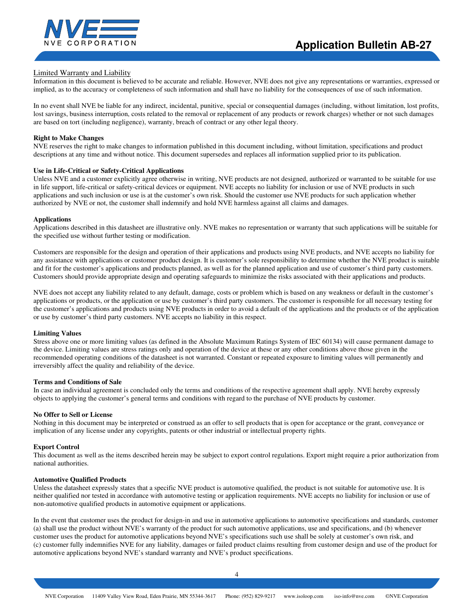

### Limited Warranty and Liability

Information in this document is believed to be accurate and reliable. However, NVE does not give any representations or warranties, expressed or implied, as to the accuracy or completeness of such information and shall have no liability for the consequences of use of such information.

In no event shall NVE be liable for any indirect, incidental, punitive, special or consequential damages (including, without limitation, lost profits, lost savings, business interruption, costs related to the removal or replacement of any products or rework charges) whether or not such damages are based on tort (including negligence), warranty, breach of contract or any other legal theory.

### **Right to Make Changes**

NVE reserves the right to make changes to information published in this document including, without limitation, specifications and product descriptions at any time and without notice. This document supersedes and replaces all information supplied prior to its publication.

### **Use in Life-Critical or Safety-Critical Applications**

Unless NVE and a customer explicitly agree otherwise in writing, NVE products are not designed, authorized or warranted to be suitable for use in life support, life-critical or safety-critical devices or equipment. NVE accepts no liability for inclusion or use of NVE products in such applications and such inclusion or use is at the customer's own risk. Should the customer use NVE products for such application whether authorized by NVE or not, the customer shall indemnify and hold NVE harmless against all claims and damages.

### **Applications**

Applications described in this datasheet are illustrative only. NVE makes no representation or warranty that such applications will be suitable for the specified use without further testing or modification.

Customers are responsible for the design and operation of their applications and products using NVE products, and NVE accepts no liability for any assistance with applications or customer product design. It is customer's sole responsibility to determine whether the NVE product is suitable and fit for the customer's applications and products planned, as well as for the planned application and use of customer's third party customers. Customers should provide appropriate design and operating safeguards to minimize the risks associated with their applications and products.

NVE does not accept any liability related to any default, damage, costs or problem which is based on any weakness or default in the customer's applications or products, or the application or use by customer's third party customers. The customer is responsible for all necessary testing for the customer's applications and products using NVE products in order to avoid a default of the applications and the products or of the application or use by customer's third party customers. NVE accepts no liability in this respect.

#### **Limiting Values**

Stress above one or more limiting values (as defined in the Absolute Maximum Ratings System of IEC 60134) will cause permanent damage to the device. Limiting values are stress ratings only and operation of the device at these or any other conditions above those given in the recommended operating conditions of the datasheet is not warranted. Constant or repeated exposure to limiting values will permanently and irreversibly affect the quality and reliability of the device.

### **Terms and Conditions of Sale**

In case an individual agreement is concluded only the terms and conditions of the respective agreement shall apply. NVE hereby expressly objects to applying the customer's general terms and conditions with regard to the purchase of NVE products by customer.

#### **No Offer to Sell or License**

Nothing in this document may be interpreted or construed as an offer to sell products that is open for acceptance or the grant, conveyance or implication of any license under any copyrights, patents or other industrial or intellectual property rights.

### **Export Control**

This document as well as the items described herein may be subject to export control regulations. Export might require a prior authorization from national authorities.

#### **Automotive Qualified Products**

Unless the datasheet expressly states that a specific NVE product is automotive qualified, the product is not suitable for automotive use. It is neither qualified nor tested in accordance with automotive testing or application requirements. NVE accepts no liability for inclusion or use of non-automotive qualified products in automotive equipment or applications.

In the event that customer uses the product for design-in and use in automotive applications to automotive specifications and standards, customer (a) shall use the product without NVE's warranty of the product for such automotive applications, use and specifications, and (b) whenever customer uses the product for automotive applications beyond NVE's specifications such use shall be solely at customer's own risk, and (c) customer fully indemnifies NVE for any liability, damages or failed product claims resulting from customer design and use of the product for automotive applications beyond NVE's standard warranty and NVE's product specifications.